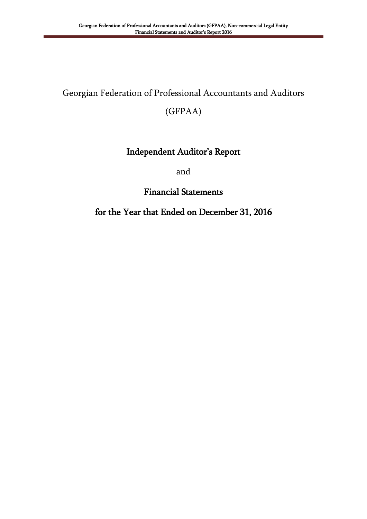# Georgian Federation of Professional Accountants and Auditors

(GFPAA)

# Independent Auditor"s Report

and

Financial Statements

# for the Year that Ended on December 31, 2016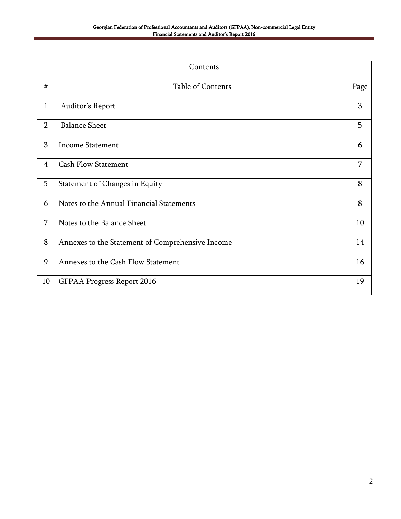|                | Contents                                         |      |  |  |
|----------------|--------------------------------------------------|------|--|--|
| #              | Table of Contents                                | Page |  |  |
| 1              | Auditor's Report                                 | 3    |  |  |
| $\overline{2}$ | <b>Balance Sheet</b>                             | 5    |  |  |
| 3              | <b>Income Statement</b>                          | 6    |  |  |
| $\overline{4}$ | <b>Cash Flow Statement</b>                       | 7    |  |  |
| 5              | Statement of Changes in Equity                   | 8    |  |  |
| 6              | Notes to the Annual Financial Statements         | 8    |  |  |
| $\overline{7}$ | Notes to the Balance Sheet                       | 10   |  |  |
| 8              | Annexes to the Statement of Comprehensive Income | 14   |  |  |
| 9              | Annexes to the Cash Flow Statement               | 16   |  |  |
| 10             | <b>GFPAA Progress Report 2016</b>                | 19   |  |  |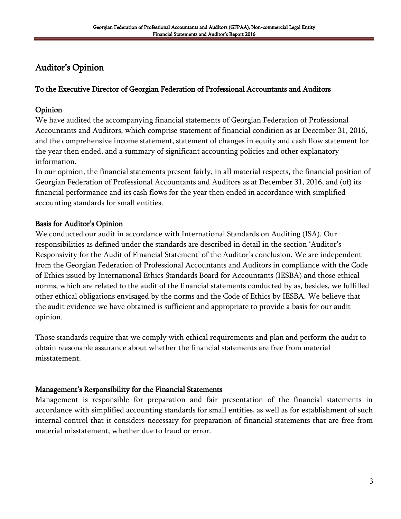# Auditor"s Opinion

## To the Executive Director of Georgian Federation of Professional Accountants and Auditors

## Opinion

We have audited the accompanying financial statements of Georgian Federation of Professional Accountants and Auditors, which comprise statement of financial condition as at December 31, 2016, and the comprehensive income statement, statement of changes in equity and cash flow statement for the year then ended, and a summary of significant accounting policies and other explanatory information.

In our opinion, the financial statements present fairly, in all material respects, the financial position of Georgian Federation of Professional Accountants and Auditors as at December 31, 2016, and (of) its financial performance and its cash flows for the year then ended in accordance with simplified accounting standards for small entities.

# Basis for Auditor"s Opinion

We conducted our audit in accordance with International Standards on Auditing (ISA). Our responsibilities as defined under the standards are described in detail in the section "Auditor"s Responsivity for the Audit of Financial Statement' of the Auditor's conclusion. We are independent from the Georgian Federation of Professional Accountants and Auditors in compliance with the Code of Ethics issued by International Ethics Standards Board for Accountants (IESBA) and those ethical norms, which are related to the audit of the financial statements conducted by as, besides, we fulfilled other ethical obligations envisaged by the norms and the Code of Ethics by IESBA. We believe that the audit evidence we have obtained is sufficient and appropriate to provide a basis for our audit opinion.

Those standards require that we comply with ethical requirements and plan and perform the audit to obtain reasonable assurance about whether the financial statements are free from material misstatement.

# Management's Responsibility for the Financial Statements

Management is responsible for preparation and fair presentation of the financial statements in accordance with simplified accounting standards for small entities, as well as for establishment of such internal control that it considers necessary for preparation of financial statements that are free from material misstatement, whether due to fraud or error.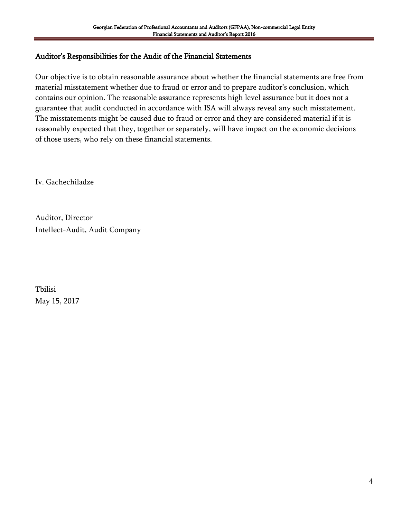## Auditor"s Responsibilities for the Audit of the Financial Statements

Our objective is to obtain reasonable assurance about whether the financial statements are free from material misstatement whether due to fraud or error and to prepare auditor's conclusion, which contains our opinion. The reasonable assurance represents high level assurance but it does not a guarantee that audit conducted in accordance with ISA will always reveal any such misstatement. The misstatements might be caused due to fraud or error and they are considered material if it is reasonably expected that they, together or separately, will have impact on the economic decisions of those users, who rely on these financial statements.

Iv. Gachechiladze

Auditor, Director Intellect-Audit, Audit Company

Tbilisi May 15, 2017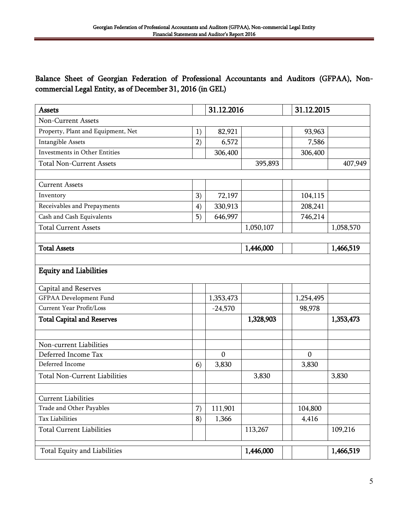# Balance Sheet of Georgian Federation of Professional Accountants and Auditors (GFPAA), Noncommercial Legal Entity, as of December 31, 2016 (in GEL)

| <b>Assets</b>                        |    | 31.12.2016   |           | 31.12.2015       |           |
|--------------------------------------|----|--------------|-----------|------------------|-----------|
| <b>Non-Current Assets</b>            |    |              |           |                  |           |
| Property, Plant and Equipment, Net   | 1) | 82,921       |           | 93,963           |           |
| Intangible Assets                    | 2) | 6,572        |           | 7,586            |           |
| <b>Investments in Other Entities</b> |    | 306,400      |           | 306,400          |           |
| <b>Total Non-Current Assets</b>      |    |              | 395,893   |                  | 407,949   |
|                                      |    |              |           |                  |           |
| <b>Current Assets</b>                |    |              |           |                  |           |
| Inventory                            | 3) | 72,197       |           | 104,115          |           |
| Receivables and Prepayments          | 4) | 330,913      |           | 208,241          |           |
| Cash and Cash Equivalents            | 5) | 646,997      |           | 746,214          |           |
| <b>Total Current Assets</b>          |    |              | 1,050,107 |                  | 1,058,570 |
|                                      |    |              |           |                  |           |
| <b>Total Assets</b>                  |    |              | 1,446,000 |                  | 1,466,519 |
|                                      |    |              |           |                  |           |
| <b>Equity and Liabilities</b>        |    |              |           |                  |           |
| Capital and Reserves                 |    |              |           |                  |           |
| <b>GFPAA</b> Development Fund        |    | 1,353,473    |           | 1,254,495        |           |
| Current Year Profit/Loss             |    | $-24,570$    |           | 98,978           |           |
| <b>Total Capital and Reserves</b>    |    |              | 1,328,903 |                  | 1,353,473 |
|                                      |    |              |           |                  |           |
| Non-current Liabilities              |    |              |           |                  |           |
| Deferred Income Tax                  |    | $\mathbf{0}$ |           | $\boldsymbol{0}$ |           |
| Deferred Income                      | 6) | 3,830        |           | 3,830            |           |
| <b>Total Non-Current Liabilities</b> |    |              | 3,830     |                  | 3,830     |
|                                      |    |              |           |                  |           |
| <b>Current Liabilities</b>           |    |              |           |                  |           |
| Trade and Other Payables             | 7) | 111,901      |           | 104,800          |           |
| <b>Tax Liabilities</b>               | 8) | 1,366        |           | 4,416            |           |
| <b>Total Current Liabilities</b>     |    |              | 113,267   |                  | 109,216   |
| Total Equity and Liabilities         |    |              | 1,446,000 |                  | 1,466,519 |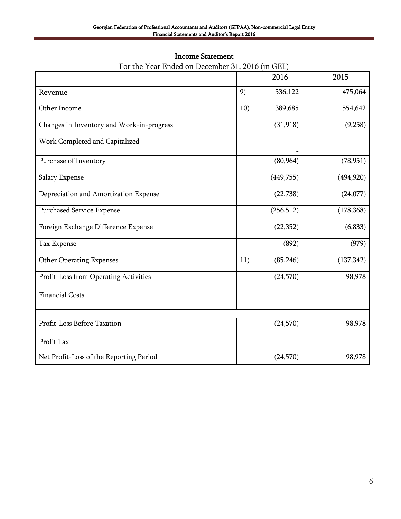| <b>Income Statement</b> |
|-------------------------|
|                         |

|                                           |     | 2016       | 2015       |
|-------------------------------------------|-----|------------|------------|
| Revenue                                   | 9)  | 536,122    | 475,064    |
| Other Income                              | 10) | 389,685    | 554,642    |
| Changes in Inventory and Work-in-progress |     | (31, 918)  | (9,258)    |
| Work Completed and Capitalized            |     |            |            |
| Purchase of Inventory                     |     | (80, 964)  | (78, 951)  |
| Salary Expense                            |     | (449,755)  | (494, 920) |
| Depreciation and Amortization Expense     |     | (22, 738)  | (24,077)   |
| Purchased Service Expense                 |     | (256, 512) | (178, 368) |
| Foreign Exchange Difference Expense       |     | (22, 352)  | (6, 833)   |
| Tax Expense                               |     | (892)      | (979)      |
| <b>Other Operating Expenses</b>           | 11) | (85, 246)  | (137, 342) |
| Profit-Loss from Operating Activities     |     | (24, 570)  | 98,978     |
| <b>Financial Costs</b>                    |     |            |            |
| Profit-Loss Before Taxation               |     | (24, 570)  | 98,978     |
| Profit Tax                                |     |            |            |
| Net Profit-Loss of the Reporting Period   |     | (24, 570)  | 98,978     |

# For the Year Ended on December 31, 2016 (in GEL)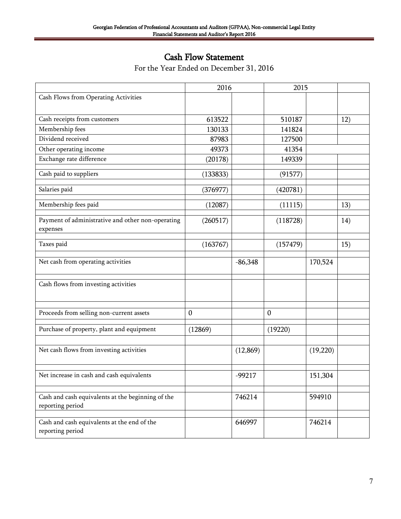# Cash Flow Statement

|                                                                       | 2016             |           | 2015             |          |     |
|-----------------------------------------------------------------------|------------------|-----------|------------------|----------|-----|
| Cash Flows from Operating Activities                                  |                  |           |                  |          |     |
|                                                                       |                  |           |                  |          |     |
| Cash receipts from customers                                          | 613522           |           | 510187           |          | 12) |
| Membership fees                                                       | 130133           |           | 141824           |          |     |
| Dividend received                                                     | 87983            |           | 127500           |          |     |
| Other operating income                                                | 49373            |           | 41354            |          |     |
| Exchange rate difference                                              | (20178)          |           | 149339           |          |     |
| Cash paid to suppliers                                                | (133833)         |           | (91577)          |          |     |
| Salaries paid                                                         | (376977)         |           | (420781)         |          |     |
| Membership fees paid                                                  | (12087)          |           | (11115)          |          | 13) |
| Payment of administrative and other non-operating<br>expenses         | (260517)         |           | (118728)         |          | 14) |
| Taxes paid                                                            | (163767)         |           | (157479)         |          | 15) |
| Net cash from operating activities                                    |                  | $-86,348$ |                  | 170,524  |     |
| Cash flows from investing activities                                  |                  |           |                  |          |     |
| Proceeds from selling non-current assets                              | $\boldsymbol{0}$ |           | $\boldsymbol{0}$ |          |     |
| Purchase of property, plant and equipment                             | (12869)          |           | (19220)          |          |     |
|                                                                       |                  |           |                  |          |     |
| Net cash flows from investing activities                              |                  | (12, 869) |                  | (19,220) |     |
| Net increase in cash and cash equivalents                             |                  | $-99217$  |                  | 151,304  |     |
| Cash and cash equivalents at the beginning of the<br>reporting period |                  | 746214    |                  | 594910   |     |
| Cash and cash equivalents at the end of the<br>reporting period       |                  | 646997    |                  | 746214   |     |

For the Year Ended on December 31, 2016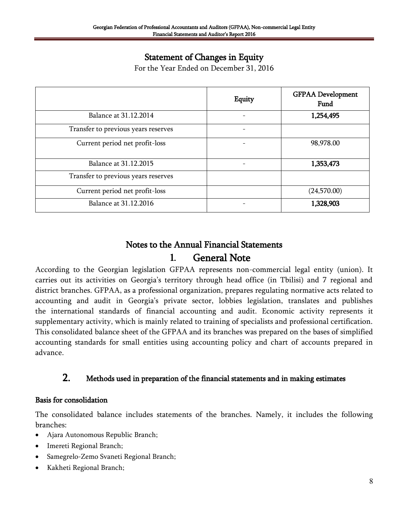# Statement of Changes in Equity

For the Year Ended on December 31, 2016

|                                     | Equity | <b>GFPAA Development</b><br>Fund |
|-------------------------------------|--------|----------------------------------|
| Balance at 31.12.2014               |        | 1,254,495                        |
| Transfer to previous years reserves |        |                                  |
| Current period net profit-loss      |        | 98,978.00                        |
| Balance at 31.12.2015               |        | 1,353,473                        |
| Transfer to previous years reserves |        |                                  |
| Current period net profit-loss      |        | (24,570.00)                      |
| Balance at 31.12.2016               |        | 1,328,903                        |

# Notes to the Annual Financial Statements **1.** General Note

According to the Georgian legislation GFPAA represents non-commercial legal entity (union). It carries out its activities on Georgia's territory through head office (in Tbilisi) and 7 regional and district branches. GFPAA, as a professional organization, prepares regulating normative acts related to accounting and audit in Georgia's private sector, lobbies legislation, translates and publishes the international standards of financial accounting and audit. Economic activity represents it supplementary activity, which is mainly related to training of specialists and professional certification. This consolidated balance sheet of the GFPAA and its branches was prepared on the bases of simplified accounting standards for small entities using accounting policy and chart of accounts prepared in advance.

# 2. Methods used in preparation of the financial statements and in making estimates

#### Basis for consolidation

The consolidated balance includes statements of the branches. Namely, it includes the following branches:

- Ajara Autonomous Republic Branch;
- Imereti Regional Branch;
- Samegrelo-Zemo Svaneti Regional Branch;
- Kakheti Regional Branch;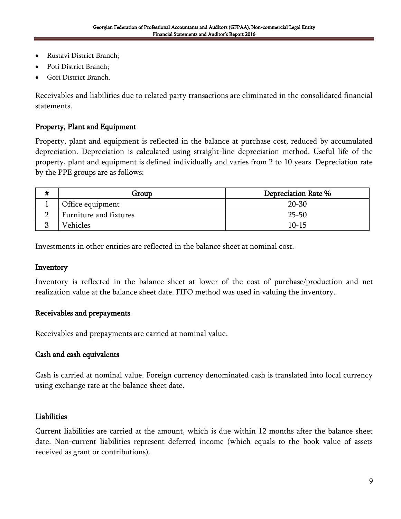- Rustavi District Branch;
- Poti District Branch;
- Gori District Branch.

Receivables and liabilities due to related party transactions are eliminated in the consolidated financial statements.

## Property, Plant and Equipment

Property, plant and equipment is reflected in the balance at purchase cost, reduced by accumulated depreciation. Depreciation is calculated using straight-line depreciation method. Useful life of the property, plant and equipment is defined individually and varies from 2 to 10 years. Depreciation rate by the PPE groups are as follows:

| # | Group                  | Depreciation Rate % |
|---|------------------------|---------------------|
|   | Office equipment       | $20 - 30$           |
|   | Furniture and fixtures | $25 - 50$           |
|   | Vehicles               | $10 - 15$           |

Investments in other entities are reflected in the balance sheet at nominal cost.

#### Inventory

Inventory is reflected in the balance sheet at lower of the cost of purchase/production and net realization value at the balance sheet date. FIFO method was used in valuing the inventory.

#### Receivables and prepayments

Receivables and prepayments are carried at nominal value.

#### Cash and cash equivalents

Cash is carried at nominal value. Foreign currency denominated cash is translated into local currency using exchange rate at the balance sheet date.

#### Liabilities

Current liabilities are carried at the amount, which is due within 12 months after the balance sheet date. Non-current liabilities represent deferred income (which equals to the book value of assets received as grant or contributions).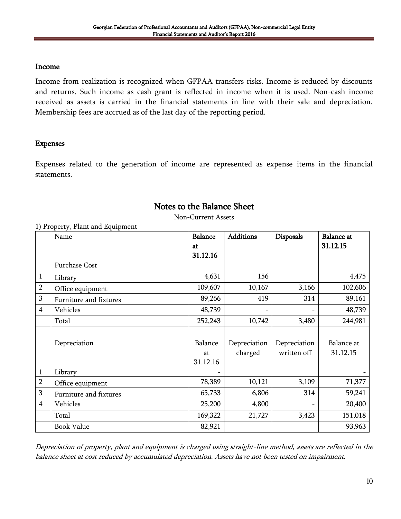#### Income

Income from realization is recognized when GFPAA transfers risks. Income is reduced by discounts and returns. Such income as cash grant is reflected in income when it is used. Non-cash income received as assets is carried in the financial statements in line with their sale and depreciation. Membership fees are accrued as of the last day of the reporting period.

#### Expenses

Expenses related to the generation of income are represented as expense items in the financial statements.

# Notes to the Balance Sheet

Non-Current Assets

|                | 1, 110 percy, 1 mm and 1 quipment<br>Name | <b>Balance</b> | <b>Additions</b> | Disposals    | <b>Balance</b> at |
|----------------|-------------------------------------------|----------------|------------------|--------------|-------------------|
|                |                                           | at             |                  |              | 31.12.15          |
|                |                                           | 31.12.16       |                  |              |                   |
|                | Purchase Cost                             |                |                  |              |                   |
| 1              | Library                                   | 4,631          | 156              |              | 4,475             |
| $\overline{2}$ | Office equipment                          | 109,607        | 10,167           | 3,166        | 102,606           |
| 3              | Furniture and fixtures                    | 89,266         | 419              | 314          | 89,161            |
| 4              | Vehicles                                  | 48,739         |                  |              | 48,739            |
|                | Total                                     | 252,243        | 10,742           | 3,480        | 244,981           |
|                |                                           |                |                  |              |                   |
|                | Depreciation                              | Balance        | Depreciation     | Depreciation | Balance at        |
|                |                                           | at             | charged          | written off  | 31.12.15          |
|                |                                           | 31.12.16       |                  |              |                   |
| $\mathbf{1}$   | Library                                   |                |                  |              |                   |
| $\overline{2}$ | Office equipment                          | 78,389         | 10,121           | 3,109        | 71,377            |
| 3              | Furniture and fixtures                    | 65,733         | 6,806            | 314          | 59,241            |
| $\overline{4}$ | Vehicles                                  | 25,200         | 4,800            |              | 20,400            |
|                | Total                                     | 169,322        | 21,727           | 3,423        | 151,018           |
|                | <b>Book Value</b>                         | 82,921         |                  |              | 93,963            |

1) Property, Plant and Equipment

Depreciation of property, plant and equipment is charged using straight-line method, assets are reflected in the balance sheet at cost reduced by accumulated depreciation. Assets have not been tested on impairment.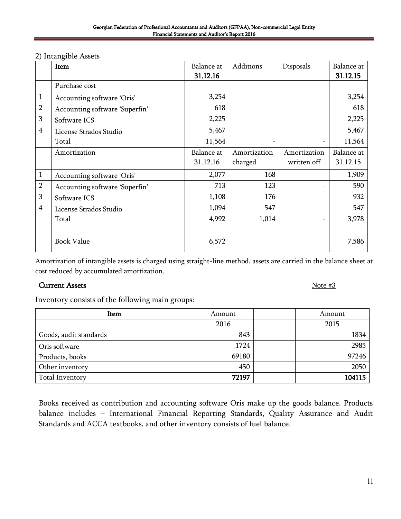|                | Item                           | Balance at | Additions    | Disposals    | Balance at |
|----------------|--------------------------------|------------|--------------|--------------|------------|
|                |                                | 31.12.16   |              |              | 31.12.15   |
|                | Purchase cost                  |            |              |              |            |
| $\mathbf{1}$   | Accounting software 'Oris'     | 3,254      |              |              | 3,254      |
| $\overline{2}$ | Accounting software 'Superfin' | 618        |              |              | 618        |
| 3              | Software ICS                   | 2,225      |              |              | 2,225      |
| 4              | License Strados Studio         | 5,467      |              |              | 5,467      |
|                | Total                          | 11,564     |              |              | 11,564     |
|                | Amortization                   | Balance at | Amortization | Amortization | Balance at |
|                |                                | 31.12.16   | charged      | written off  | 31.12.15   |
| $\mathbf{1}$   | Accounting software 'Oris'     | 2,077      | 168          |              | 1,909      |
| $\overline{2}$ | Accounting software 'Superfin' | 713        | 123          |              | 590        |
| 3              | Software ICS                   | 1,108      | 176          |              | 932        |
| $\overline{4}$ | License Strados Studio         | 1,094      | 547          |              | 547        |
|                | Total                          | 4,992      | 1,014        |              | 3,978      |
|                | <b>Book Value</b>              | 6,572      |              |              | 7,586      |

#### 2) Intangible Assets

Amortization of intangible assets is charged using straight-line method, assets are carried in the balance sheet at cost reduced by accumulated amortization.

#### Current Assets Note #3

Inventory consists of the following main groups:

| Item                   | Amount |  | Amount |  |
|------------------------|--------|--|--------|--|
|                        | 2016   |  | 2015   |  |
| Goods, audit standards | 843    |  | 1834   |  |
| Oris software          | 1724   |  | 2985   |  |
| Products, books        | 69180  |  | 97246  |  |
| Other inventory        | 450    |  | 2050   |  |
| Total Inventory        | 72197  |  | 104115 |  |

Books received as contribution and accounting software Oris make up the goods balance. Products balance includes – International Financial Reporting Standards, Quality Assurance and Audit Standards and ACCA textbooks, and other inventory consists of fuel balance.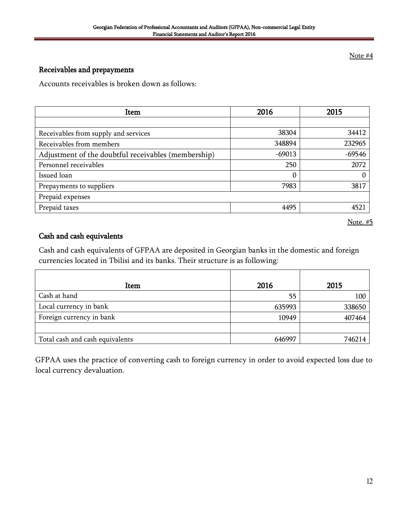Note #4

# Receivables and prepayments

Accounts receivables is broken down as follows:

| Item                                                | 2016     | 2015     |
|-----------------------------------------------------|----------|----------|
|                                                     |          |          |
| Receivables from supply and services                | 38304    | 34412    |
| Receivables from members                            | 348894   | 232965   |
| Adjustment of the doubtful receivables (membership) | $-69013$ | $-69546$ |
| Personnel receivables                               | 250      | 2072     |
| Issued loan                                         | $\Omega$ |          |
| Prepayments to suppliers                            | 7983     | 3817     |
| Prepaid expenses                                    |          |          |
| Prepaid taxes                                       | 4495     | 4521     |

Note. #5

#### Cash and cash equivalents

Cash and cash equivalents of GFPAA are deposited in Georgian banks in the domestic and foreign currencies located in Tbilisi and its banks. Their structure is as following:

| Item                            | 2016   | 2015   |
|---------------------------------|--------|--------|
| Cash at hand                    | 55     | 100    |
| Local currency in bank          | 635993 | 338650 |
| Foreign currency in bank        | 10949  | 407464 |
|                                 |        |        |
| Total cash and cash equivalents | 646997 | 746214 |

GFPAA uses the practice of converting cash to foreign currency in order to avoid expected loss due to local currency devaluation.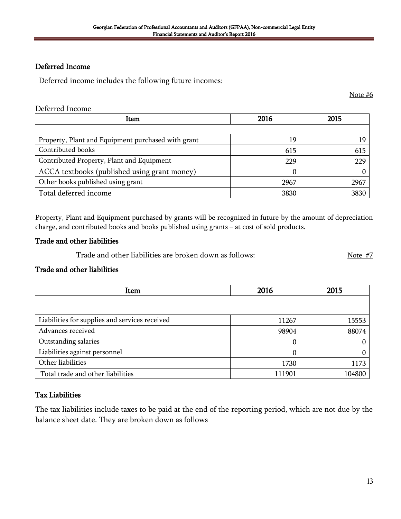#### Deferred Income

Deferred income includes the following future incomes:

Note #6

#### Deferred Income

| Item                                               | 2016 | 2015 |
|----------------------------------------------------|------|------|
|                                                    |      |      |
| Property, Plant and Equipment purchased with grant | 19   | 19   |
| Contributed books                                  | 615  | 615  |
| Contributed Property, Plant and Equipment          | 229  | 229  |
| ACCA textbooks (published using grant money)       |      |      |
| Other books published using grant                  | 2967 | 2967 |
| Total deferred income                              | 3830 | 3830 |

Property, Plant and Equipment purchased by grants will be recognized in future by the amount of depreciation charge, and contributed books and books published using grants – at cost of sold products.

#### Trade and other liabilities

Trade and other liabilities are broken down as follows:  $\frac{17}{100}$  Note #7

#### Trade and other liabilities

| Item                                           | 2016   | 2015   |
|------------------------------------------------|--------|--------|
|                                                |        |        |
| Liabilities for supplies and services received | 11267  | 15553  |
| Advances received                              | 98904  | 88074  |
| Outstanding salaries                           | 0      |        |
| Liabilities against personnel                  | 0      |        |
| Other liabilities                              | 1730   | 1173   |
| Total trade and other liabilities              | 111901 | 104800 |

#### Tax Liabilities

The tax liabilities include taxes to be paid at the end of the reporting period, which are not due by the balance sheet date. They are broken down as follows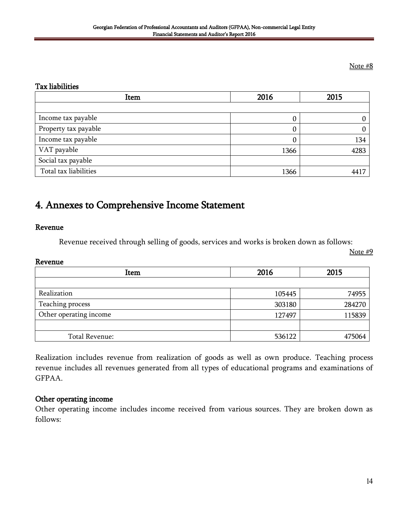#### Note #8

#### Tax liabilities

| Item                  | 2016 | 2015 |
|-----------------------|------|------|
|                       |      |      |
| Income tax payable    |      |      |
| Property tax payable  | υ    |      |
| Income tax payable    |      | 134  |
| VAT payable           | 1366 | 4283 |
| Social tax payable    |      |      |
| Total tax liabilities | 1366 | 4417 |

# 4. Annexes to Comprehensive Income Statement

#### Revenue

Revenue received through selling of goods, services and works is broken down as follows:

Note #9

#### Revenue

| Item                   | 2016   | 2015   |
|------------------------|--------|--------|
|                        |        |        |
| Realization            | 105445 | 74955  |
| Teaching process       | 303180 | 284270 |
| Other operating income | 127497 | 115839 |
|                        |        |        |
| Total Revenue:         | 536122 | 475064 |

Realization includes revenue from realization of goods as well as own produce. Teaching process revenue includes all revenues generated from all types of educational programs and examinations of GFPAA.

#### Other operating income

Other operating income includes income received from various sources. They are broken down as follows: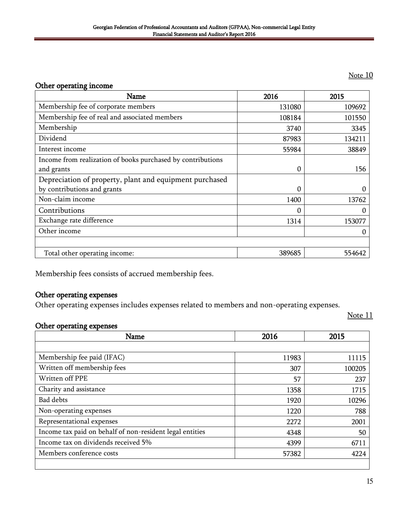#### Note 10

#### Other operating income

| <b>Name</b>                                                 | 2016   | 2015   |
|-------------------------------------------------------------|--------|--------|
| Membership fee of corporate members                         | 131080 | 109692 |
| Membership fee of real and associated members               | 108184 | 101550 |
| Membership                                                  | 3740   | 3345   |
| Dividend                                                    | 87983  | 134211 |
| Interest income                                             | 55984  | 38849  |
| Income from realization of books purchased by contributions |        |        |
| and grants                                                  | 0      | 156    |
| Depreciation of property, plant and equipment purchased     |        |        |
| by contributions and grants                                 | 0      |        |
| Non-claim income                                            | 1400   | 13762  |
| Contributions                                               | 0      | 0      |
| Exchange rate difference                                    | 1314   | 153077 |
| Other income                                                |        | 0      |
|                                                             |        |        |
| Total other operating income:                               | 389685 | 554642 |

Membership fees consists of accrued membership fees.

#### Other operating expenses

Other operating expenses includes expenses related to members and non-operating expenses.

#### Note 11

#### Other operating expenses

| 11983 |        |
|-------|--------|
|       |        |
|       | 11115  |
| 307   | 100205 |
| 57    | 237    |
| 1358  | 1715   |
| 1920  | 10296  |
| 1220  | 788    |
| 2272  | 2001   |
| 4348  | 50     |
| 4399  | 6711   |
| 57382 | 4224   |
|       |        |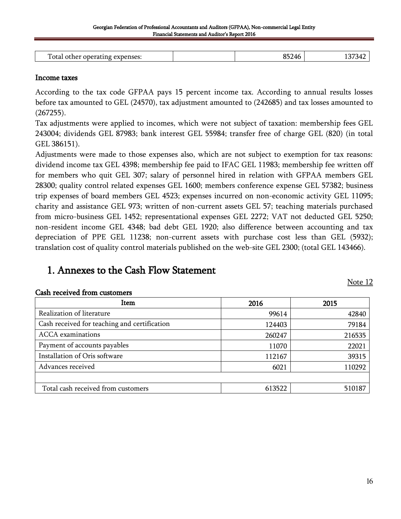| $\mathbf{m}$<br>$\text{\textdegree}$ otal<br>s Densec<br>വലപ<br>,,,,<br>м<br>$1 -$<br>$- -$<br>$\sim$ |  |  |
|-------------------------------------------------------------------------------------------------------|--|--|
|                                                                                                       |  |  |

#### Income taxes

According to the tax code GFPAA pays 15 percent income tax. According to annual results losses before tax amounted to GEL (24570), tax adjustment amounted to (242685) and tax losses amounted to (267255).

Tax adjustments were applied to incomes, which were not subject of taxation: membership fees GEL 243004; dividends GEL 87983; bank interest GEL 55984; transfer free of charge GEL (820) (in total GEL 386151).

Adjustments were made to those expenses also, which are not subject to exemption for tax reasons: dividend income tax GEL 4398; membership fee paid to IFAC GEL 11983; membership fee written off for members who quit GEL 307; salary of personnel hired in relation with GFPAA members GEL 28300; quality control related expenses GEL 1600; members conference expense GEL 57382; business trip expenses of board members GEL 4523; expenses incurred on non-economic activity GEL 11095; charity and assistance GEL 973; written of non-current assets GEL 57; teaching materials purchased from micro-business GEL 1452; representational expenses GEL 2272; VAT not deducted GEL 5250; non-resident income GEL 4348; bad debt GEL 1920; also difference between accounting and tax depreciation of PPE GEL 11238; non-current assets with purchase cost less than GEL (5932); translation cost of quality control materials published on the web-site GEL 2300; (total GEL 143466).

# 1. Annexes to the Cash Flow Statement

Note 12

| Item                                         | 2016   | 2015   |
|----------------------------------------------|--------|--------|
| Realization of literature                    | 99614  | 42840  |
| Cash received for teaching and certification | 124403 | 79184  |
| <b>ACCA</b> examinations                     | 260247 | 216535 |
| Payment of accounts payables                 | 11070  | 22021  |
| Installation of Oris software                | 112167 | 39315  |
| Advances received                            | 6021   | 110292 |
|                                              |        |        |
| Total cash received from customers           | 613522 | 510187 |

#### Cash received from customers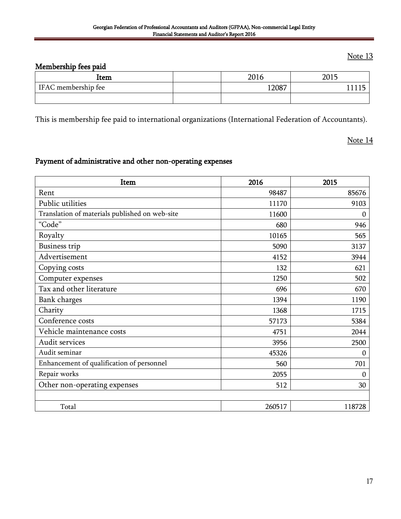## Note 13

# Membership fees paid

| ltem                | 2016  | 2015 |
|---------------------|-------|------|
| IFAC membership fee | 12087 |      |
|                     |       |      |

This is membership fee paid to international organizations (International Federation of Accountants).

Note 14

# Payment of administrative and other non-operating expenses

| Item                                           | 2016   | 2015             |
|------------------------------------------------|--------|------------------|
| Rent                                           | 98487  | 85676            |
| Public utilities                               | 11170  | 9103             |
| Translation of materials published on web-site | 11600  | 0                |
| "Code"                                         | 680    | 946              |
| Royalty                                        | 10165  | 565              |
| <b>Business trip</b>                           | 5090   | 3137             |
| Advertisement                                  | 4152   | 3944             |
| Copying costs                                  | 132    | 621              |
| Computer expenses                              | 1250   | 502              |
| Tax and other literature                       | 696    | 670              |
| Bank charges                                   | 1394   | 1190             |
| Charity                                        | 1368   | 1715             |
| Conference costs                               | 57173  | 5384             |
| Vehicle maintenance costs                      | 4751   | 2044             |
| Audit services                                 | 3956   | 2500             |
| Audit seminar                                  | 45326  | $\boldsymbol{0}$ |
| Enhancement of qualification of personnel      | 560    | 701              |
| Repair works                                   | 2055   | 0                |
| Other non-operating expenses                   | 512    | 30               |
|                                                |        |                  |
| Total                                          | 260517 | 118728           |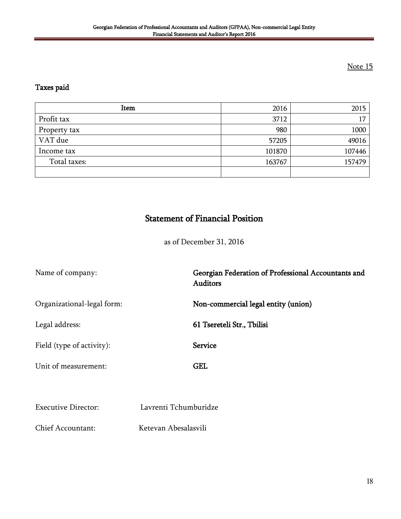# Note 15

#### Taxes paid

| Item         | 2016   | 2015   |
|--------------|--------|--------|
| Profit tax   | 3712   | 17     |
| Property tax | 980    | 1000   |
| VAT due      | 57205  | 49016  |
| Income tax   | 101870 | 107446 |
| Total taxes: | 163767 | 157479 |
|              |        |        |

# Statement of Financial Position

as of December 31, 2016

Name of company: Georgian Federation of Professional Accountants and Auditors Organizational-legal form: Non-commercial legal entity (union) Legal address: 61 Tsereteli Str., Tbilisi Field (type of activity): Service Unit of measurement: GEL

Executive Director: Lavrenti Tchumburidze

Chief Accountant: Ketevan Abesalasvili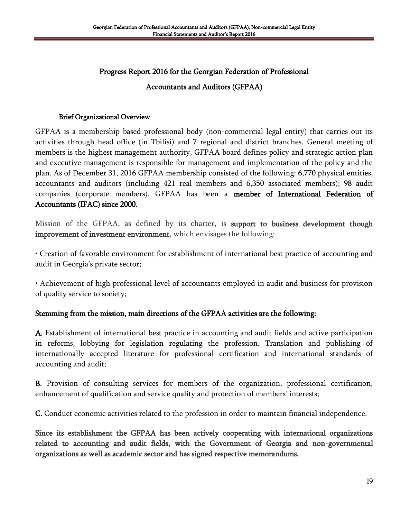# Progress Report 2016 for the Georgian Federation of Professional Accountants and Auditors (GFPAA)

#### Brief Organizational Overview

GFPAA is a membership based professional body (non-commercial legal entity) that carries out its activities through head office (in Tbilisi) and 7 regional and district branches. General meeting of members is the highest management authority, GFPAA board defines policy and strategic action plan and executive management is responsible for management and implementation of the policy and the plan. As of December 31, 2016 GFPAA membership consisted of the following: 6,770 physical entities, accountants and auditors (including 421 real members and 6,350 associated members); 98 audit companies (corporate members). GFPAA has been a member of International Federation of Accountants (IFAC) since 2000.

Mission of the GFPAA, as defined by its charter, is support to business development though improvement of investment environment, which envisages the following:

• Creation of favorable environment for establishment of international best practice of accounting and audit in Georgia's private sector;

• Achievement of high professional level of accountants employed in audit and business for provision of quality service to society;

# Stemming from the mission, main directions of the GFPAA activities are the following:

A. Establishment of international best practice in accounting and audit fields and active participation in reforms, lobbying for legislation regulating the profession. Translation and publishing of internationally accepted literature for professional certification and international standards of accounting and audit;

B. Provision of consulting services for members of the organization, professional certification, enhancement of qualification and service quality and protection of members' interests;

C. Conduct economic activities related to the profession in order to maintain financial independence.

Since its establishment the GFPAA has been actively cooperating with international organizations related to accounting and audit fields, with the Government of Georgia and non-governmental organizations as well as academic sector and has signed respective memorandums.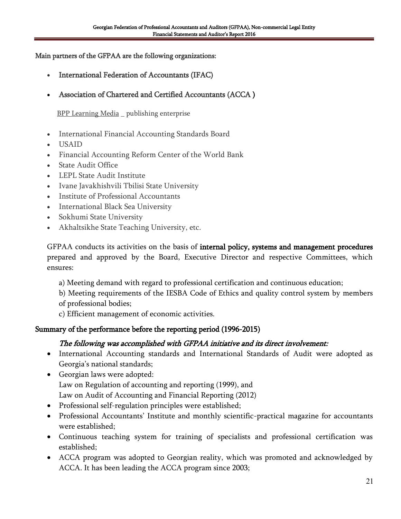#### Main partners of the GFPAA are the following organizations:

- International Federation of Accountants (IFAC)
- Association of Chartered and Certified Accountants [\(ACCA](http://www.accatraining.ge/site/9-%E1%83%A2%E1%83%9D%E1%83%9E-%E1%83%9B%E1%83%94%E1%83%9C%E1%83%98%E1%83%A3/23-acca.html) )

**BPP Learning Media** publishing enterprise

- International Financial Accounting Standards Board
- USAID
- Financial Accounting Reform Center of the World Bank
- State Audit Office
- LEPL State Audit Institute
- Ivane Javakhishvili Tbilisi State University
- Institute of Professional Accountants
- International Black Sea University
- Sokhumi State University
- Akhaltsikhe State Teaching University, etc.

GFPAA conducts its activities on the basis of internal policy, systems and management procedures prepared and approved by the Board, Executive Director and respective Committees, which ensures:

a) Meeting demand with regard to professional certification and continuous education;

b) Meeting requirements of the IESBA Code of Ethics and quality control system by members of professional bodies;

c) Efficient management of economic activities.

#### Summary of the performance before the reporting period (1996-2015)

#### The following was accomplished with GFPAA initiative and its direct involvement:

- International Accounting standards and International Standards of Audit were adopted as Georgia's national standards;
- Georgian laws were adopted: Law on Regulation of accounting and reporting (1999), and Law on Audit of Accounting and Financial Reporting (2012)
- Professional self-regulation principles were established;
- Professional Accountants' Institute and monthly scientific-practical magazine for accountants were established;
- Continuous teaching system for training of specialists and professional certification was established;
- ACCA program was adopted to Georgian reality, which was promoted and acknowledged by ACCA. It has been leading the ACCA program since 2003;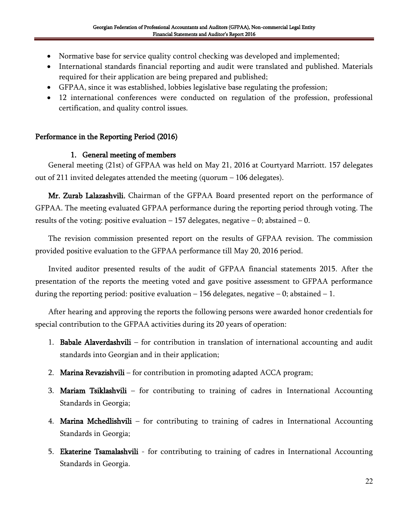- Normative base for service quality control checking was developed and implemented;
- International standards financial reporting and audit were translated and published. Materials required for their application are being prepared and published;
- GFPAA, since it was established, lobbies legislative base regulating the profession;
- 12 international conferences were conducted on regulation of the profession, professional certification, and quality control issues.

## Performance in the Reporting Period (2016)

#### 1. General meeting of members

General meeting (21st) of GFPAA was held on May 21, 2016 at Courtyard Marriott. 157 delegates out of 211 invited delegates attended the meeting (quorum  $-106$  delegates).

Mr. Zurab Lalazashvili, Chairman of the GFPAA Board presented report on the performance of GFPAA. The meeting evaluated GFPAA performance during the reporting period through voting. The results of the voting: positive evaluation  $-157$  delegates, negative  $-0$ ; abstained  $-0$ .

The revision commission presented report on the results of GFPAA revision. The commission provided positive evaluation to the GFPAA performance till May 20, 2016 period.

Invited auditor presented results of the audit of GFPAA financial statements 2015. After the presentation of the reports the meeting voted and gave positive assessment to GFPAA performance during the reporting period: positive evaluation  $-156$  delegates, negative  $-0$ ; abstained  $-1$ .

After hearing and approving the reports the following persons were awarded honor credentials for special contribution to the GFPAA activities during its 20 years of operation:

- 1. Babale Alaverdashvili for contribution in translation of international accounting and audit standards into Georgian and in their application;
- 2. Marina Revazishvili for contribution in promoting adapted ACCA program;
- 3. Mariam Tsiklashvili for contributing to training of cadres in International Accounting Standards in Georgia;
- 4. Marina Mchedlishvili for contributing to training of cadres in International Accounting Standards in Georgia;
- 5. **Ekaterine Tsamalashvili** for contributing to training of cadres in International Accounting Standards in Georgia.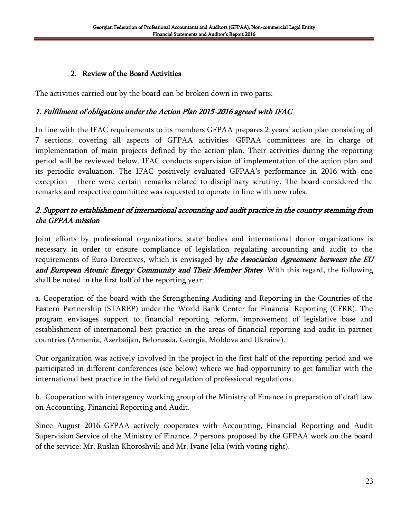# 2. Review of the Board Activities

The activities carried out by the board can be broken down in two parts:

# 1. Fulfilment of obligations under the Action Plan 2015-2016 agreed with IFAC

In line with the IFAC requirements to its members GFPAA prepares 2 years' action plan consisting of 7 sections, covering all aspects of GFPAA activities. GFPAA committees are in charge of implementation of main projects defined by the action plan. Their activities during the reporting period will be reviewed below. IFAC conducts supervision of implementation of the action plan and its periodic evaluation. The IFAC positively evaluated GFPAA"s performance in 2016 with one exception – there were certain remarks related to disciplinary scrutiny. The board considered the remarks and respective committee was requested to operate in line with new rules.

# 2. Support to establishment of international accounting and audit practice in the country stemming from the GFPAA mission

Joint efforts by professional organizations, state bodies and international donor organizations is necessary in order to ensure compliance of legislation regulating accounting and audit to the requirements of Euro Directives, which is envisaged by *the Association Agreement between the EU* and European Atomic Energy Community and Their Member States. With this regard, the following shall be noted in the first half of the reporting year:

a. Cooperation of the board with the Strengthening Auditing and Reporting in the Countries of the Eastern Partnership (STAREP) under the World Bank Center for Financial Reporting (CFRR). The program envisages support to financial reporting reform, improvement of legislative base and establishment of international best practice in the areas of financial reporting and audit in partner countries (Armenia, Azerbaijan, Belorussia, Georgia, Moldova and Ukraine).

Our organization was actively involved in the project in the first half of the reporting period and we participated in different conferences (see below) where we had opportunity to get familiar with the international best practice in the field of regulation of professional regulations.

b. Cooperation with interagency working group of the Ministry of Finance in preparation of draft law on Accounting, Financial Reporting and Audit.

Since August 2016 GFPAA actively cooperates with Accounting, Financial Reporting and Audit Supervision Service of the Ministry of Finance. 2 persons proposed by the GFPAA work on the board of the service: Mr. Ruslan Khoroshvili and Mr. Ivane Jelia (with voting right).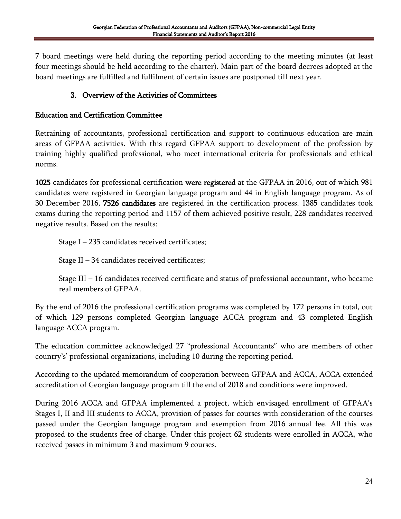7 board meetings were held during the reporting period according to the meeting minutes (at least four meetings should be held according to the charter). Main part of the board decrees adopted at the board meetings are fulfilled and fulfilment of certain issues are postponed till next year.

# 3. Overview of the Activities of Committees

## Education and Certification Committee

Retraining of accountants, professional certification and support to continuous education are main areas of GFPAA activities. With this regard GFPAA support to development of the profession by training highly qualified professional, who meet international criteria for professionals and ethical norms.

1025 candidates for professional certification were registered at the GFPAA in 2016, out of which 981 candidates were registered in Georgian language program and 44 in English language program. As of 30 December 2016, 7526 candidates are registered in the certification process. 1385 candidates took exams during the reporting period and 1157 of them achieved positive result, 228 candidates received negative results. Based on the results:

Stage I – 235 candidates received certificates;

Stage II – 34 candidates received certificates;

Stage III – 16 candidates received certificate and status of professional accountant, who became real members of GFPAA.

By the end of 2016 the professional certification programs was completed by 172 persons in total, out of which 129 persons completed Georgian language ACCA program and 43 completed English language ACCA program.

The education committee acknowledged 27 "professional Accountants" who are members of other country's' professional organizations, including 10 during the reporting period.

According to the updated memorandum of cooperation between GFPAA and ACCA, ACCA extended accreditation of Georgian language program till the end of 2018 and conditions were improved.

During 2016 ACCA and GFPAA implemented a project, which envisaged enrollment of GFPAA"s Stages I, II and III students to ACCA, provision of passes for courses with consideration of the courses passed under the Georgian language program and exemption from 2016 annual fee. All this was proposed to the students free of charge. Under this project 62 students were enrolled in ACCA, who received passes in minimum 3 and maximum 9 courses.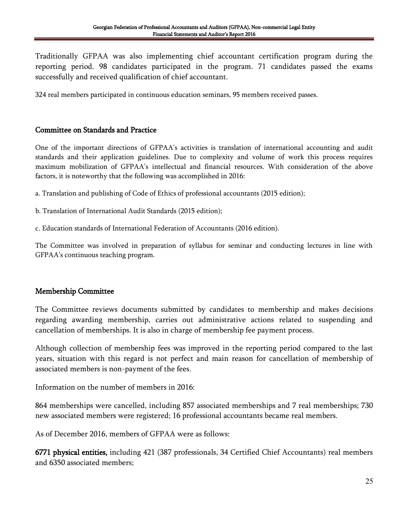Traditionally GFPAA was also implementing chief accountant certification program during the reporting period. 98 candidates participated in the program. 71 candidates passed the exams successfully and received qualification of chief accountant.

324 real members participated in continuous education seminars, 95 members received passes.

#### Committee on Standards and Practice

One of the important directions of GFPAA"s activities is translation of international accounting and audit standards and their application guidelines. Due to complexity and volume of work this process requires maximum mobilization of GFPAA"s intellectual and financial resources. With consideration of the above factors, it is noteworthy that the following was accomplished in 2016:

a. Translation and publishing of Code of Ethics of professional accountants (2015 edition);

b. Translation of International Audit Standards (2015 edition);

c. Education standards of International Federation of Accountants (2016 edition).

The Committee was involved in preparation of syllabus for seminar and conducting lectures in line with GFPAA"s continuous teaching program.

#### Membership Committee

The Committee reviews documents submitted by candidates to membership and makes decisions regarding awarding membership, carries out administrative actions related to suspending and cancellation of memberships. It is also in charge of membership fee payment process.

Although collection of membership fees was improved in the reporting period compared to the last years, situation with this regard is not perfect and main reason for cancellation of membership of associated members is non-payment of the fees.

Information on the number of members in 2016:

864 memberships were cancelled, including 857 associated memberships and 7 real memberships; 730 new associated members were registered; 16 professional accountants became real members.

As of December 2016, members of GFPAA were as follows:

6771 physical entities, including 421 (387 professionals, 34 Certified Chief Accountants) real members and 6350 associated members;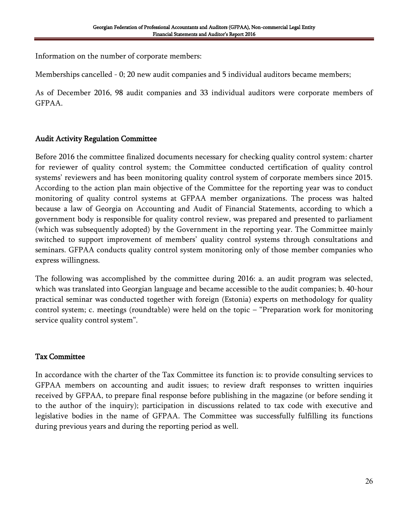Information on the number of corporate members:

Memberships cancelled - 0; 20 new audit companies and 5 individual auditors became members;

As of December 2016, 98 audit companies and 33 individual auditors were corporate members of GFPAA.

#### Audit Activity Regulation Committee

Before 2016 the committee finalized documents necessary for checking quality control system: charter for reviewer of quality control system; the Committee conducted certification of quality control systems' reviewers and has been monitoring quality control system of corporate members since 2015. According to the action plan main objective of the Committee for the reporting year was to conduct monitoring of quality control systems at GFPAA member organizations. The process was halted because a law of Georgia on Accounting and Audit of Financial Statements, according to which a government body is responsible for quality control review, was prepared and presented to parliament (which was subsequently adopted) by the Government in the reporting year. The Committee mainly switched to support improvement of members' quality control systems through consultations and seminars. GFPAA conducts quality control system monitoring only of those member companies who express willingness.

The following was accomplished by the committee during 2016: a. an audit program was selected, which was translated into Georgian language and became accessible to the audit companies; b. 40-hour practical seminar was conducted together with foreign (Estonia) experts on methodology for quality control system; c. meetings (roundtable) were held on the topic – "Preparation work for monitoring service quality control system".

# Tax Committee

In accordance with the charter of the Tax Committee its function is: to provide consulting services to GFPAA members on accounting and audit issues; to review draft responses to written inquiries received by GFPAA, to prepare final response before publishing in the magazine (or before sending it to the author of the inquiry); participation in discussions related to tax code with executive and legislative bodies in the name of GFPAA. The Committee was successfully fulfilling its functions during previous years and during the reporting period as well.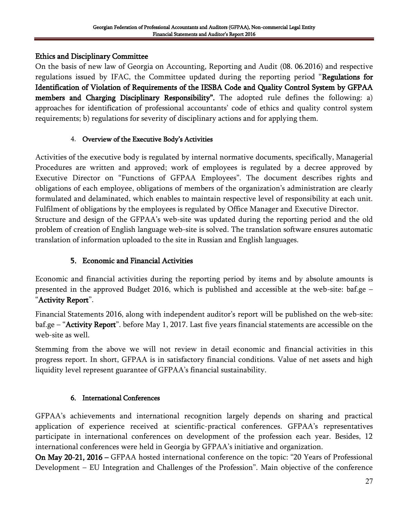# Ethics and Disciplinary Committee

On the basis of new law of Georgia on Accounting, Reporting and Audit (08. 06.2016) and respective regulations issued by IFAC, the Committee updated during the reporting period "Regulations for Identification of Violation of Requirements of the IESBA Code and Quality Control System by GFPAA members and Charging Disciplinary Responsibility". The adopted rule defines the following: a) approaches for identification of professional accountants' code of ethics and quality control system requirements; b) regulations for severity of disciplinary actions and for applying them.

# 4. Overview of the Executive Body"s Activities

Activities of the executive body is regulated by internal normative documents, specifically, Managerial Procedures are written and approved; work of employees is regulated by a decree approved by Executive Director on "Functions of GFPAA Employees". The document describes rights and obligations of each employee, obligations of members of the organization"s administration are clearly formulated and delaminated, which enables to maintain respective level of responsibility at each unit. Fulfilment of obligations by the employees is regulated by Office Manager and Executive Director. Structure and design of the GFPAA"s web-site was updated during the reporting period and the old problem of creation of English language web-site is solved. The translation software ensures automatic translation of information uploaded to the site in Russian and English languages.

# 5. Economic and Financial Activities

Economic and financial activities during the reporting period by items and by absolute amounts is presented in the approved Budget 2016, which is published and accessible at the web-site: baf.ge – "Activity Report".

Financial Statements 2016, along with independent auditor's report will be published on the web-site: baf.ge – "Activity Report". before May 1, 2017. Last five years financial statements are accessible on the web-site as well.

Stemming from the above we will not review in detail economic and financial activities in this progress report. In short, GFPAA is in satisfactory financial conditions. Value of net assets and high liquidity level represent guarantee of GFPAA"s financial sustainability.

# 6. International Conferences

GFPAA"s achievements and international recognition largely depends on sharing and practical application of experience received at scientific-practical conferences. GFPAA"s representatives participate in international conferences on development of the profession each year. Besides, 12 international conferences were held in Georgia by GFPAA"s initiative and organization.

On May 20-21, 2016 – GFPAA hosted international conference on the topic: "20 Years of Professional Development – EU Integration and Challenges of the Profession". Main objective of the conference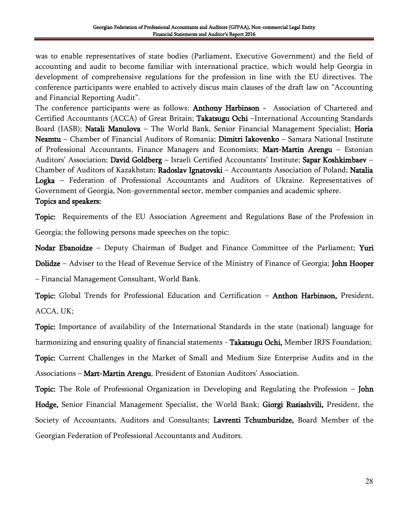was to enable representatives of state bodies (Parliament, Executive Government) and the field of accounting and audit to become familiar with international practice, which would help Georgia in development of comprehensive regulations for the profession in line with the EU directives. The conference participants were enabled to actively discus main clauses of the draft law on "Accounting and Financial Reporting Audit".

The conference participants were as follows: **Anthony Harbinson** - Association of Chartered and Certified Accountants (ACCA) of Great Britain; Takatsugu Ochi –International Accounting Standards Board (IASB); Natali Manulova – The World Bank, Senior Financial Management Specialist; Horia Neamtu – Chamber of Financial Auditors of Romania; Dimitri Iakovenko – Samara National Institute of Professional Accountants, Finance Managers and Economists; Mart-Martin Arengu – Estonian Auditors' Association; David Goldberg – Israeli Certified Accountants' Institute; Sapar Koshkimbaev – Chamber of Auditors of Kazakhstan; Radoslav Ignatovski – Accountants Association of Poland; Natalia Logka – Federation of Professional Accountants and Auditors of Ukraine. Representatives of Government of Georgia, Non-governmental sector, member companies and academic sphere. Topics and speakers:

Topic: Requirements of the EU Association Agreement and Regulations Base of the Profession in Georgia; the following persons made speeches on the topic:

Nodar Ebanoidze – Deputy Chairman of Budget and Finance Committee of the Parliament; Yuri Dolidze – Adviser to the Head of Revenue Service of the Ministry of Finance of Georgia; John Hooper – Financial Management Consultant, World Bank.

Topic: Global Trends for Professional Education and Certification – **Anthon Harbinson**, President, ACCA, UK;

Topic: Importance of availability of the International Standards in the state (national) language for harmonizing and ensuring quality of financial statements - **Takatsugu Ochi**, Member IRFS Foundation; Topic: Current Challenges in the Market of Small and Medium Size Enterprise Audits and in the Associations – **Mart-Martin Arengu**, President of Estonian Auditors' Association.

Topic: The Role of Professional Organization in Developing and Regulating the Profession – John Hodge, Senior Financial Management Specialist, the World Bank; Giorgi Rusiashvili, President, the Society of Accountants, Auditors and Consultants; Lavrenti Tchumburidze, Board Member of the Georgian Federation of Professional Accountants and Auditors.